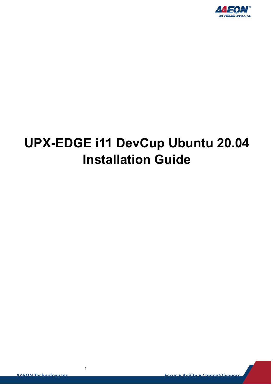

# **UPX-EDGE i11 DevCup Ubuntu 20.04 Installation Guide**

1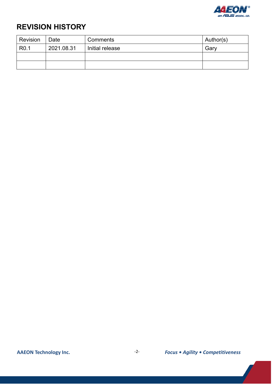

#### **REVISION HISTORY**

| Revision         | Date       | Comments        | Author(s) |  |
|------------------|------------|-----------------|-----------|--|
| R <sub>0.1</sub> | 2021.08.31 | Initial release | Gary      |  |
|                  |            |                 |           |  |
|                  |            |                 |           |  |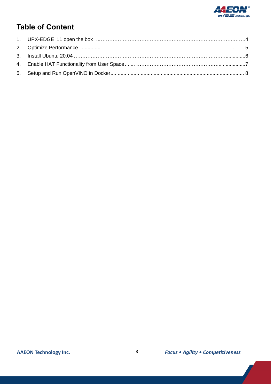

### **Table of Content**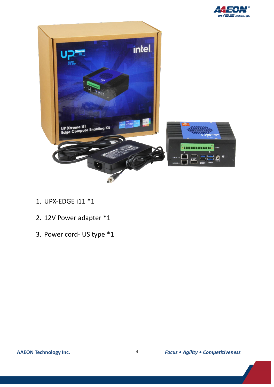



- 1. UPX-EDGE i11 \*1
- 2. 12V Power adapter \*1
- 3. Power cord- US type \*1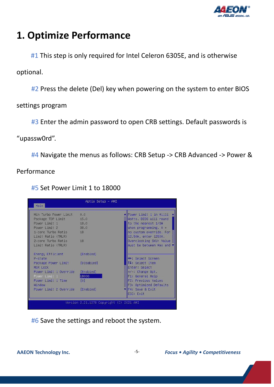

### **1. Optimize Performance**

#1 This step is only required for Intel Celeron 6305E, and is otherwise

optional.

#2 Press the delete (Del) key when powering on the system to enter BIOS

settings program

#3 Enter the admin password to open CRB settings. Default passwords is

"upassw0rd".

#4 Navigate the menus as follows: CRB Setup -> CRB Advanced -> Power &

Performance

#5 Set Power Limit 1 to 18000

| Main                                     | Aptio Setup - AMI |                                               |  |  |
|------------------------------------------|-------------------|-----------------------------------------------|--|--|
| Min Turbo Power Limit                    | 0.0               | ▲ Power Limit 1 in Milli                      |  |  |
| Package TDP Limit                        | 15.0              | Watts. BIOS will round                        |  |  |
| Power Limit 1                            | 18.0              | to the nearest 1/8W                           |  |  |
| Power Limit 2                            | 38.0              | when programming. $0 =$                       |  |  |
| 1-core Turbo Ratio                       | 18                | no custom override. For                       |  |  |
| Limit Ratio (TRLR)                       |                   | 12.50W, enter 12500.                          |  |  |
| 2-core Turbo Ratio                       | 18                | Overclocking SKU: Value                       |  |  |
| Limit Ratio (TRLR)                       |                   | must be between Max and v                     |  |  |
| Energy Efficient<br>P-state              | [Enabled]         | <b>++:</b> Select Screen                      |  |  |
| Package Power Limit<br>MSR Lock          | [Disabled]        | 14: Select Item<br>Enter: Select              |  |  |
| Power Limit 1 Override                   | [Enabled]         | $+/-$ : Change Opt.                           |  |  |
| Power Limit 1                            | 18000             | F1: General Help                              |  |  |
| Power Limit 1 Time<br>Window             | To1               | F2: Previous Values<br>F3: Optimized Defaults |  |  |
| Power Limit 2 Override [Enabled]         |                   | F4: Save & Exit<br>FSC: Exit                  |  |  |
| Version 2.21.1278 Copyright (C) 2021 AMI |                   |                                               |  |  |

#6 Save the settings and reboot the system.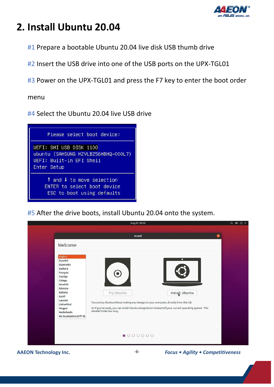

## **2. Install Ubuntu 20.04**

#1 Prepare a bootable Ubuntu 20.04 live disk USB thumb drive

#2 Insert the USB drive into one of the USB ports on the UPX-TGL01

#3 Power on the UPX-TGL01 and press the F7 key to enter the boot order

menu

#4 Select the Ubuntu 20.04 live USB drive



#5 After the drive boots, install Ubuntu 20.04 onto the system.



**AAEON Technology Inc. Focus • Agility • Competitiveness Focus • Agility • Competitiveness**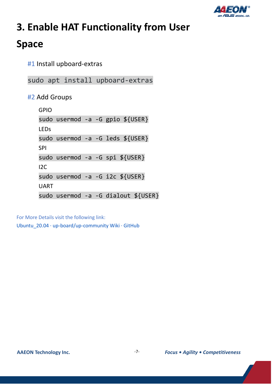

# **3. Enable HAT Functionality from User**

## **Space**

#1 Install upboard-extras

sudo apt install upboard-extras

#2 Add Groups

GPIO sudo usermod -a -G gpio \${USER} LEDs sudo usermod -a -G leds \${USER} SPI sudo usermod -a -G spi \${USER} I2C sudo usermod -a -G i2c \${USER} UART sudo usermod -a -G dialout \${USER}

For More Details visit the following link:

[Ubuntu\\_20.04 · up-board/up-community Wiki · GitHub](https://github.com/up-board/up-community/wiki/Ubuntu_20.04)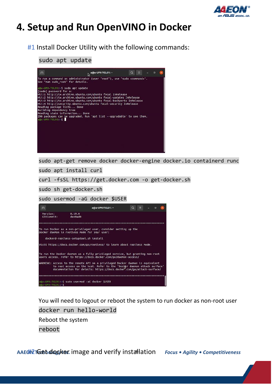

## **4. Setup and Run OpenVINO in Docker**

#1 Install Docker Utility with the following commands:

#### sudo apt update



sudo apt-get remove docker docker-engine docker.io containerd runc

sudo apt install curl

curl -fsSL https://get.docker.com -o get-docker.sh

sudo sh get-docker.sh

sudo usermod -aG docker \$USER



You will need to logout or reboot the system to run docker as non-root user docker run hello-world Reboot the system reboot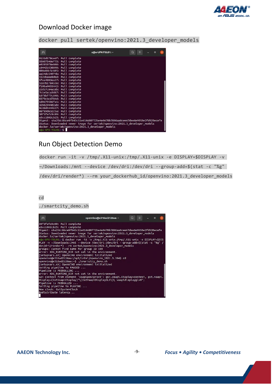

#### Download Docker image

|  |  |  |  |  | docker pull sertek/openvino:2021.3_developer_models |  |
|--|--|--|--|--|-----------------------------------------------------|--|
|--|--|--|--|--|-----------------------------------------------------|--|

| 回                                                                               |  | a@a-UPX-TGL01: ~ | $\alpha$ |  |  |  |
|---------------------------------------------------------------------------------|--|------------------|----------|--|--|--|
| 9131d578ce6f: Pull complete                                                     |  |                  |          |  |  |  |
| 55807546e775: Pull complete                                                     |  |                  |          |  |  |  |
| e0285978e808: Pull complete                                                     |  |                  |          |  |  |  |
| c0442b538890: Pull complete                                                     |  |                  |          |  |  |  |
| 880a8dc5c605: Pull complete                                                     |  |                  |          |  |  |  |
| aa24dc54974b: Pull complete                                                     |  |                  |          |  |  |  |
| 152dba6e8dbd: Pull complete                                                     |  |                  |          |  |  |  |
| 5fea4883ea37: Pull complete                                                     |  |                  |          |  |  |  |
| 5187b1784556: Pull complete                                                     |  |                  |          |  |  |  |
| f10ba9055442: Pull complete                                                     |  |                  |          |  |  |  |
| 22d17c84a18b: Pull complete                                                     |  |                  |          |  |  |  |
| 7c1e5a1a36b7: Pull complete                                                     |  |                  |          |  |  |  |
| b3f8bff7c690: Pull complete                                                     |  |                  |          |  |  |  |
| 0379cbcd784d: Pull complete                                                     |  |                  |          |  |  |  |
| 1d0679506fa1: Pull complete                                                     |  |                  |          |  |  |  |
| 32b82944d2ab: Pull complete                                                     |  |                  |          |  |  |  |
| 9c48d4444637: Pull complete                                                     |  |                  |          |  |  |  |
| 08f89d63225a: Pull complete                                                     |  |                  |          |  |  |  |
| 30f1fafc9c09: Pull complete                                                     |  |                  |          |  |  |  |
| a3cc1802cb25: Pull complete                                                     |  |                  |          |  |  |  |
| Digest: sha256:86ce9fb42c11e614680772be4e0670b7898aa8cee67dee6e9950e2fd920ecefe |  |                  |          |  |  |  |
| Status: Downloaded newer image for sertek/openvino:2021.3_developer_models      |  |                  |          |  |  |  |
| docker.io/sertek/openvino:2021.3 developer models                               |  |                  |          |  |  |  |
| $a@a-UPX-TGL01:-S$                                                              |  |                  |          |  |  |  |

#### Run Object Detection Demo

docker run -it -v /tmp/.X11-unix:/tmp/.X11-unix -e DISPLAY=\$DISPLAY -v

~/Downloads:/mnt --device /dev/dri:/dev/dri --group-add=\$(stat -c "%g"

/dev/dri/render\*) --rm your\_dockerhub\_id/openvino:2021.3\_developer\_models

cd

./smartcity\_demo.sh